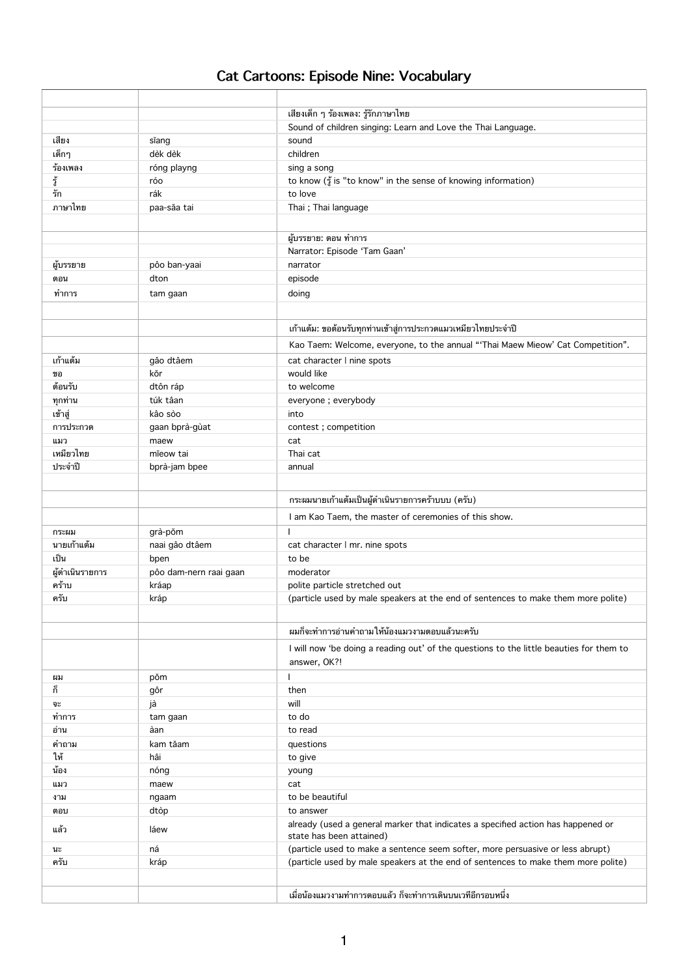## **Cat Cartoons: Episode Nine: Vocabulary**

|                 |                        | เสียงเด็ก ๆ ร้องเพลง: รู้รักภาษาไทย                                                                                                         |
|-----------------|------------------------|---------------------------------------------------------------------------------------------------------------------------------------------|
|                 |                        | Sound of children singing: Learn and Love the Thai Language.                                                                                |
| เสียง           | sĭang                  | sound                                                                                                                                       |
| เด็กๆ           | dèk dèk                | children                                                                                                                                    |
| ร้องเพลง        | róng playng            | sing a song                                                                                                                                 |
| จุ้             | róo                    | to know $(\xi)$ is "to know" in the sense of knowing information)                                                                           |
| รัก             | rák                    | to love                                                                                                                                     |
| ภาษาไทย         | paa-săa tai            | Thai ; Thai language                                                                                                                        |
|                 |                        |                                                                                                                                             |
|                 |                        |                                                                                                                                             |
|                 |                        | ผู้บรรยาย: ตอน ทำการ                                                                                                                        |
|                 |                        | Narrator: Episode 'Tam Gaan'                                                                                                                |
| ผู้บรรยาย       | pôo ban-yaai           | narrator                                                                                                                                    |
| ตอน             | dton                   | episode                                                                                                                                     |
| ทำการ           | tam gaan               | doing                                                                                                                                       |
|                 |                        |                                                                                                                                             |
|                 |                        |                                                                                                                                             |
|                 |                        | เก้าแต้ม: ขอต้อนรับทุกท่านเข้าสู่การประกวดแมวเหมียวไทยประจำปี                                                                               |
|                 |                        | Kao Taem: Welcome, everyone, to the annual "Thai Maew Mieow' Cat Competition".                                                              |
| เก้าแต้ม        | gâo dtâem              | cat character I nine spots                                                                                                                  |
| ขอ              | kŏr                    | would like                                                                                                                                  |
| ต้อนรับ         | dtôn ráp               | to welcome                                                                                                                                  |
| <u>ทุกท่าน</u>  | túk tâan               | everyone; everybody                                                                                                                         |
| เข้าสู่         | kâo sòo                | into                                                                                                                                        |
| การประกวด       | gaan bprà-gùat         | contest; competition                                                                                                                        |
| แมว             | maew                   | cat                                                                                                                                         |
| เหมียวไทย       | mieow tai              | Thai cat                                                                                                                                    |
| ประจำปี         | bprà-jam bpee          | annual                                                                                                                                      |
|                 |                        |                                                                                                                                             |
| กระผม           | grà-pǒm                | กระผมนายเก้าแต้มเป็นผู้ดำเนินรายการคร้าบบบ (ครับ)<br>I am Kao Taem, the master of ceremonies of this show.                                  |
| นายเก้าแต้ม     | naai gâo dtâem         | cat character I mr. nine spots                                                                                                              |
| เป็น            | bpen                   | to be                                                                                                                                       |
| ผู้ดำเนินรายการ | pôo dam-nern raai gaan | moderator                                                                                                                                   |
| คร้าบ           | kráap                  | polite particle stretched out                                                                                                               |
| ครับ            | kráp                   | (particle used by male speakers at the end of sentences to make them more polite)                                                           |
|                 |                        | ้ ผมก็จะทำการอ่านคำถามให้น้องแมวงามตอบแล้วนะครับ<br>I will now 'be doing a reading out' of the questions to the little beauties for them to |
|                 |                        | answer, OK?!                                                                                                                                |
| ผม              | pŏm                    |                                                                                                                                             |
| ก็              | gôr                    | then                                                                                                                                        |
| จะ              | jà                     | will                                                                                                                                        |
| ทำการ           | tam gaan               | to do                                                                                                                                       |
| ่อ่าน           | àan                    | to read                                                                                                                                     |
| คำถาม           | kam tăam               | questions                                                                                                                                   |
| ให้             | hâi                    | to give                                                                                                                                     |
| น้อง            | nóng                   | young                                                                                                                                       |
| แมว             | maew                   | cat                                                                                                                                         |
| งาม             | ngaam                  | to be beautiful                                                                                                                             |
| ตอบ             | dtòp                   | to answer                                                                                                                                   |
| แล้ว            | láew                   | already (used a general marker that indicates a specified action has happened or<br>state has been attained)                                |
| นะ              | ná                     | (particle used to make a sentence seem softer, more persuasive or less abrupt)                                                              |
| ครับ            | kráp                   | (particle used by male speakers at the end of sentences to make them more polite)                                                           |
|                 |                        |                                                                                                                                             |
|                 |                        | ้เมื่อน้องแมวงามทำการตอบแล้ว ก็จะทำการเดินบนเวทีอีกรอบหนึ่ง                                                                                 |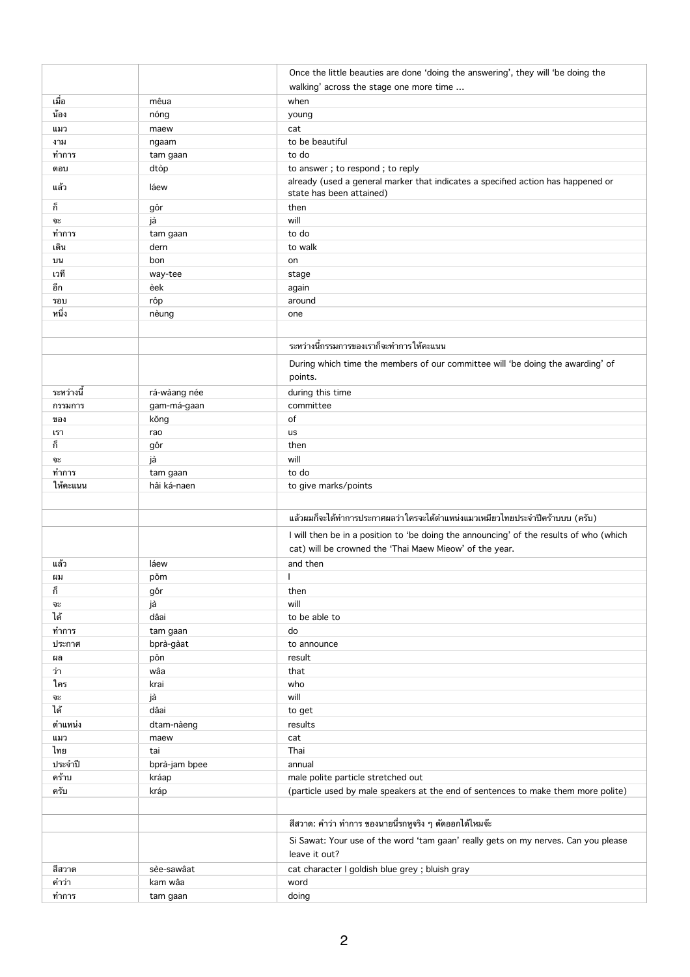|            |               | Once the little beauties are done 'doing the answering', they will 'be doing the                                                                  |
|------------|---------------|---------------------------------------------------------------------------------------------------------------------------------------------------|
|            |               | walking' across the stage one more time                                                                                                           |
| เมื่อ      | mêua          | when                                                                                                                                              |
| น้อง       | nóng          | young                                                                                                                                             |
| แมว        | maew          | cat                                                                                                                                               |
|            |               | to be beautiful                                                                                                                                   |
| งาม        | ngaam         |                                                                                                                                                   |
| ์ ทำการ    | tam gaan      | to do                                                                                                                                             |
| ตอบ        | dtòp          | to answer; to respond; to reply                                                                                                                   |
| แล้ว       | láew          | already (used a general marker that indicates a specified action has happened or<br>state has been attained)                                      |
| ก็         | gôr           | then                                                                                                                                              |
| ຈະ         | jà            | will                                                                                                                                              |
| ์ ทำการ    | tam gaan      | to do                                                                                                                                             |
| เดิน       | dern          | to walk                                                                                                                                           |
| บน         | bon           | on                                                                                                                                                |
| เวที       | way-tee       | stage                                                                                                                                             |
| อีก        | èek           | again                                                                                                                                             |
| รอบ        | rôp           | around                                                                                                                                            |
| หนึ่ง      | nèung         | one                                                                                                                                               |
|            |               |                                                                                                                                                   |
|            |               |                                                                                                                                                   |
|            |               | ระหว่างนี้กรรมการของเราก็จะทำการให้คะแนน                                                                                                          |
|            |               | During which time the members of our committee will 'be doing the awarding' of                                                                    |
|            |               | points.                                                                                                                                           |
|            |               |                                                                                                                                                   |
| ระหว่างนี้ | rá-wàang née  | during this time                                                                                                                                  |
| กรรมการ    | gam-má-gaan   | committee                                                                                                                                         |
| ของ        | kŏng          | of                                                                                                                                                |
| เรา        | rao           | us                                                                                                                                                |
| ก็         | gôr           | then                                                                                                                                              |
| ຈະ         | jà            | will                                                                                                                                              |
| ทำการ      | tam gaan      | to do                                                                                                                                             |
| ให้คะแนน   | hâi ká-naen   | to give marks/points                                                                                                                              |
|            |               |                                                                                                                                                   |
|            |               |                                                                                                                                                   |
|            |               |                                                                                                                                                   |
|            |               | แล้วผมก็จะได้ทำการประกาศผลว่าใครจะได้ตำแหน่งแมวเหมียวไทยประจำปีคร้าบบบ (ครับ)                                                                     |
|            |               | I will then be in a position to 'be doing the announcing' of the results of who (which<br>cat) will be crowned the 'Thai Maew Mieow' of the year. |
| แล้ว       | láew          | and then                                                                                                                                          |
| ผม         |               |                                                                                                                                                   |
|            | pŏm           |                                                                                                                                                   |
| ก็         | gôr           | then                                                                                                                                              |
| ຈະ         | jà            | will                                                                                                                                              |
| ได้        | dâai          | to be able to                                                                                                                                     |
| ทำการ      | tam gaan      | do                                                                                                                                                |
| ประกาศ     | bprà-gàat     | to announce                                                                                                                                       |
| ผล         | pŏn           | result                                                                                                                                            |
| ว่า        | wâa           | that                                                                                                                                              |
| ใคร        | krai          | who                                                                                                                                               |
| ຈະ         | jà            | will                                                                                                                                              |
| ได้        | dâai          | to get                                                                                                                                            |
| ์ ตำแหน่ง  | dtam-nàeng    | results                                                                                                                                           |
| แมว        | maew          | cat                                                                                                                                               |
| ไทย        | tai           | Thai                                                                                                                                              |
| ประจำปี    | bprà-jam bpee | annual                                                                                                                                            |
|            |               |                                                                                                                                                   |
| คร้าบ      | kráap         | male polite particle stretched out                                                                                                                |
| ครับ       | kráp          | (particle used by male speakers at the end of sentences to make them more polite)                                                                 |
|            |               | ี สีสวาด: คำว่า ทำการ ของนายนี่รกหูจริง ๆ ตัดออกได้ไหมจ๊ะ                                                                                         |
|            |               |                                                                                                                                                   |
|            |               | Si Sawat: Your use of the word 'tam gaan' really gets on my nerves. Can you please                                                                |
|            |               | leave it out?                                                                                                                                     |
| สีสวาด     | sèe-sawâat    | cat character I goldish blue grey; bluish gray                                                                                                    |
| คำว่า      | kam wâa       | word<br>doing                                                                                                                                     |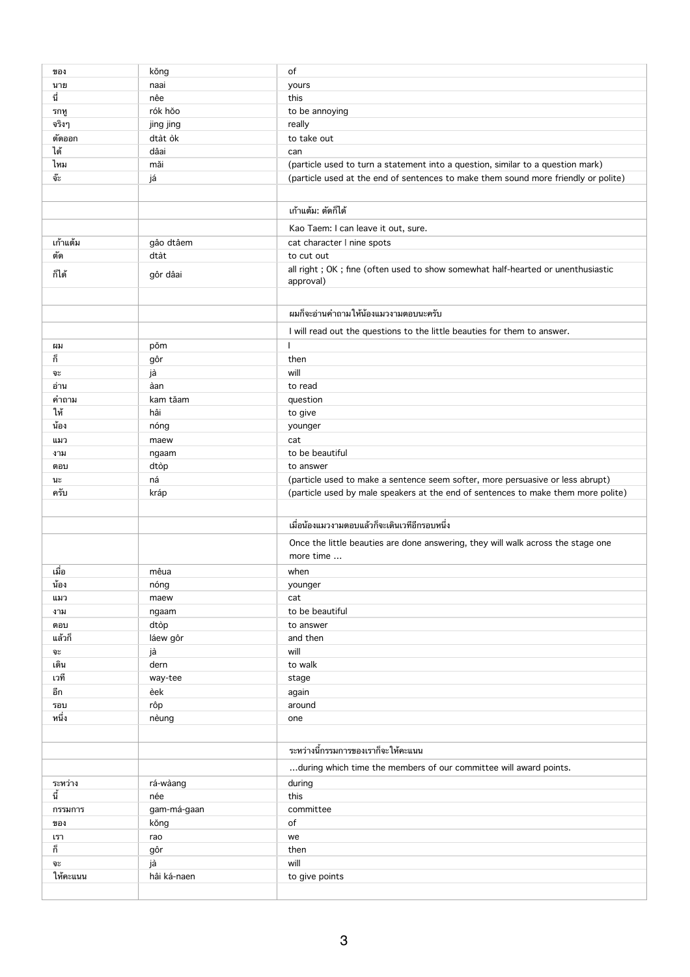| ของ      | kŏng        | of                                                                                 |
|----------|-------------|------------------------------------------------------------------------------------|
| นาย      | naai        | yours                                                                              |
| นี่      | nêe         | this                                                                               |
| รกทู     | rók hŏo     | to be annoying                                                                     |
| จริงๆ    | jing jing   | really                                                                             |
| ตัดออก   | dtàt òk     | to take out                                                                        |
| ได้      | dâai        | can                                                                                |
| ไหม      | măi         | (particle used to turn a statement into a question, similar to a question mark)    |
| จ๊ะ      | já          | (particle used at the end of sentences to make them sound more friendly or polite) |
|          |             |                                                                                    |
|          |             |                                                                                    |
|          |             | เก้าแต้ม: ตัดก็ได้                                                                 |
|          |             | Kao Taem: I can leave it out, sure.                                                |
| เก้าแต้ม | gâo dtâem   | cat character I nine spots                                                         |
| ตัด      | dtàt        | to cut out                                                                         |
| ก็ได้    |             | all right; OK; fine (often used to show somewhat half-hearted or unenthusiastic    |
|          | gôr dâai    | approval)                                                                          |
|          |             |                                                                                    |
|          |             | ี ผมก็จะอ่านคำถาม ให้น้องแมวงามตอบนะครับ                                           |
|          |             |                                                                                    |
|          |             | I will read out the questions to the little beauties for them to answer.           |
| ผม       | pŏm         |                                                                                    |
| ದ<br>ñ   | gôr         | then                                                                               |
| ຈະ       | jà          | will                                                                               |
| อ่าน     | àan         | to read                                                                            |
| คำถาม    | kam tăam    | question                                                                           |
| ให้      | hâi         | to give                                                                            |
| น้อง     | nóng        | younger                                                                            |
| แมว      | maew        | cat                                                                                |
| งาม      | ngaam       | to be beautiful                                                                    |
| ตอบ      | dtòp        | to answer                                                                          |
| นะ       | ná          | (particle used to make a sentence seem softer, more persuasive or less abrupt)     |
| ครับ     | kráp        | (particle used by male speakers at the end of sentences to make them more polite)  |
|          |             |                                                                                    |
|          |             | ้<br>เมื่อน้องแมวงามตอบแล้วก็จะเดินเวทีอีกรอบหนึ่ง                                 |
|          |             |                                                                                    |
|          |             | Once the little beauties are done answering, they will walk across the stage one   |
|          |             | more time                                                                          |
| เมื่อ    | mêua        | when                                                                               |
| น้อง     | nóng        | younger                                                                            |
| แมว      | maew        | cat                                                                                |
| งาม      | ngaam       | to be beautiful                                                                    |
| ตอบ      | dtòp        | to answer                                                                          |
| แล้วก็   | láew gôr    | and then                                                                           |
| ຈະ       | jà          | will                                                                               |
| เดิน     | dern        | to walk                                                                            |
| เวที     | way-tee     | stage                                                                              |
| อีก      | èek         | again                                                                              |
| รอบ      | rôp         | around                                                                             |
| หนึ่ง    | nèung       | one                                                                                |
|          |             |                                                                                    |
|          |             | ระหว่างนี้กรรมการของเราก็จะให้คะแนน                                                |
|          |             |                                                                                    |
|          |             | during which time the members of our committee will award points.                  |
| ระหว่าง  | rá-wàang    | during                                                                             |
| นี้      | née         | this                                                                               |
| กรรมการ  | gam-má-gaan | committee                                                                          |
| ของ      | kŏng        | of                                                                                 |
| เรา      | rao         | we                                                                                 |
| ก็       | gôr         | then                                                                               |
| ຈະ       | jà          | will                                                                               |
| ให้คะแนน | hâi ká-naen | to give points                                                                     |
|          |             |                                                                                    |
|          |             |                                                                                    |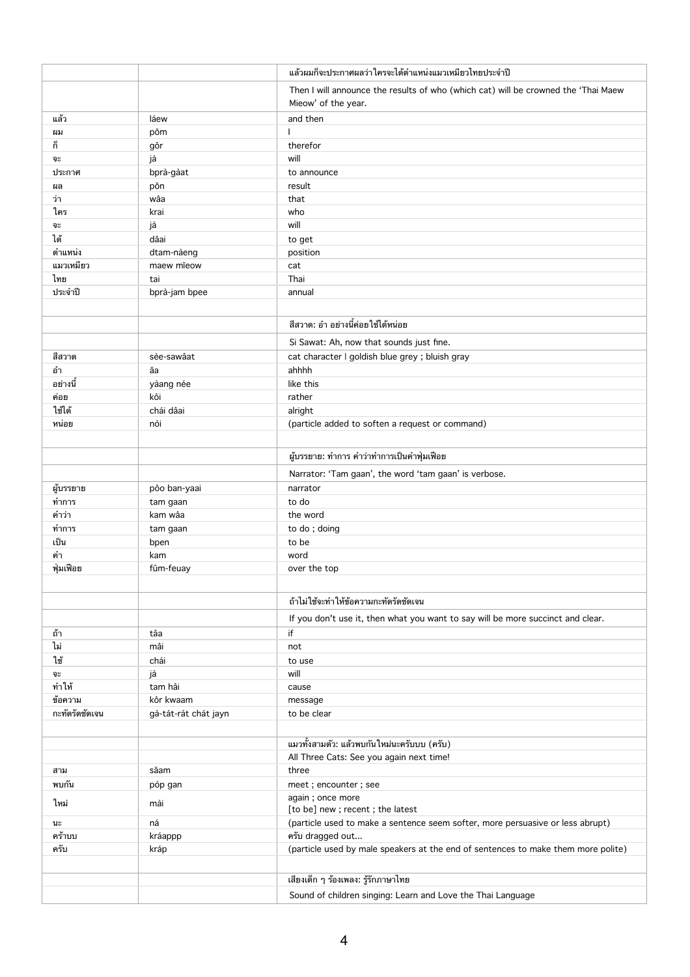|                |                      | ้ แล้วผมก็จะประกาศผลว่าใครจะได้ตำแหน่งแมวเหมียวไทยประจำปี                                          |
|----------------|----------------------|----------------------------------------------------------------------------------------------------|
|                |                      | Then I will announce the results of who (which cat) will be crowned the 'Thai Maew                 |
|                |                      | Mieow' of the year.                                                                                |
| แล้ว           | láew                 | and then                                                                                           |
| ผม             | pŏm                  |                                                                                                    |
| ก็             | gôr                  | therefor                                                                                           |
| ຈະ             | jà                   | will                                                                                               |
| ประกาศ         | bprà-gàat            | to announce                                                                                        |
| ผล             | pŏn                  | result                                                                                             |
| ว่า            | wâa                  | that                                                                                               |
| ใคร            | krai                 | who                                                                                                |
| ຈະ             | jà                   | will                                                                                               |
| ได้            | dâai                 | to get                                                                                             |
| ตำแหน่ง        | dtam-nàeng           | position                                                                                           |
| แมวเหมียว      | maew mieow           | cat                                                                                                |
| ไทย            | tai                  | Thai                                                                                               |
| ประจำปี        | bprà-jam bpee        | annual                                                                                             |
|                |                      |                                                                                                    |
|                |                      | ้สีสวาด: อ๋า อย่างนี้ค่อยใช้ได้หน่อย                                                               |
|                |                      | Si Sawat: Ah, now that sounds just fine.                                                           |
| สีสวาด         | sèe-sawâat           | cat character I goldish blue grey; bluish gray                                                     |
| ื่อำ           | ăa                   | ahhhh                                                                                              |
| อย่างนี        | yàang née            | like this                                                                                          |
| ค่อย           | kôi                  | rather                                                                                             |
| ใช้ได้         | chái dâai            | alright                                                                                            |
| หน่อย          | nòi                  | (particle added to soften a request or command)                                                    |
|                |                      |                                                                                                    |
|                |                      | ผู้บรรยาย: ทำการ คำว่าทำการเป็นคำพุ่มเฟือย                                                         |
|                |                      |                                                                                                    |
|                |                      | Narrator: 'Tam gaan', the word 'tam gaan' is verbose.                                              |
| ผู้บรรยาย      | pôo ban-yaai         | narrator                                                                                           |
| ทำการ          | tam gaan             | to do                                                                                              |
| คำว่า          | kam wâa              | the word                                                                                           |
| ทำการ          | tam gaan             | to do; doing                                                                                       |
| เป็น<br>คำ     | bpen                 | to be                                                                                              |
| พุ่มเฟือย      | kam<br>fûm-feuay     | word<br>over the top                                                                               |
|                |                      |                                                                                                    |
|                |                      |                                                                                                    |
|                |                      | ถ้าไม่ใช้จะทำให้ข้อความกะทัดรัดชัดเจน                                                              |
|                |                      | If you don't use it, then what you want to say will be more succinct and clear.                    |
| ถ้า            | tâa                  | if                                                                                                 |
| ไม่            | mâi                  | not                                                                                                |
| ใช้            | chái                 | to use                                                                                             |
| ຈະ             | jà                   | will                                                                                               |
| ทำให้          | tam hâi              | cause                                                                                              |
| ข้อความ        | kôr kwaam            | message                                                                                            |
| กะทัดรัดชัดเจน | gà-tát-rát chát jayn | to be clear                                                                                        |
|                |                      |                                                                                                    |
|                |                      | แมวทั้งสามตัว: แล้วพบกันใหม่นะครับบบ (ครับ)                                                        |
|                |                      | All Three Cats: See you again next time!                                                           |
| ิสาม           | săam                 | three                                                                                              |
| พบกัน          | póp gan              | meet; encounter; see                                                                               |
| ใหม่           | mài                  | again; once more                                                                                   |
|                | ná                   | [to be] new ; recent ; the latest                                                                  |
| นะ<br>คร้าบบ   |                      | (particle used to make a sentence seem softer, more persuasive or less abrupt)<br>ครับ dragged out |
| ครับ           | kráappp<br>kráp      | (particle used by male speakers at the end of sentences to make them more polite)                  |
|                |                      |                                                                                                    |
|                |                      |                                                                                                    |
|                |                      | ้เสียงเด็ก ๆ ร้องเพลง: รู้รักภาษาไทย                                                               |
|                |                      | Sound of children singing: Learn and Love the Thai Language                                        |